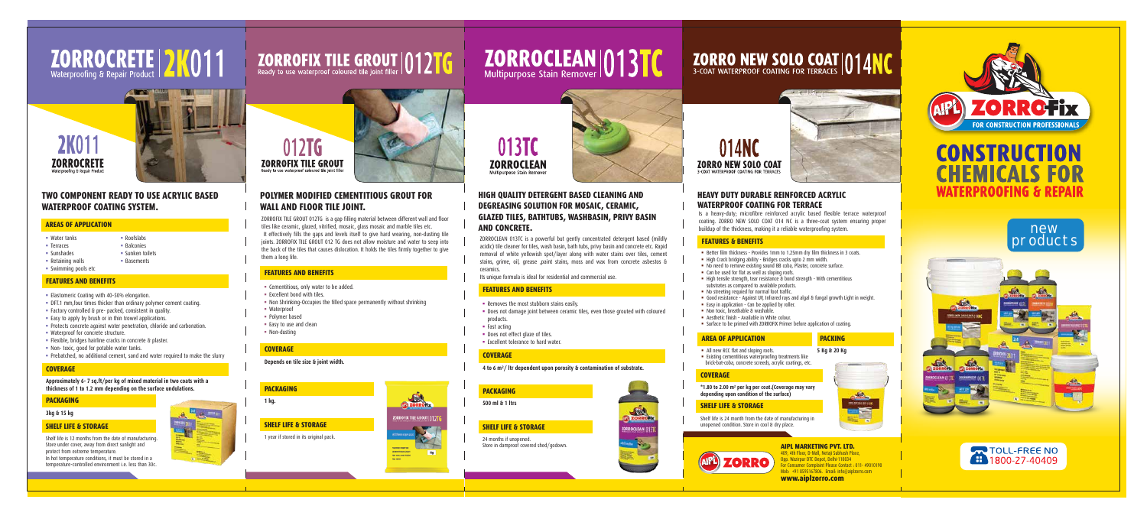# **ZORROCRETE | 2K011**



#### **TWO COMPONENT READY TO USE ACRYLIC BASED WATERPROOF COATING SYSTEM.**

- Water tanks **Roofslabs**
- Terraces National Balconies
- 
- Sunshades Sunken toilets
- Retaining walls Basements
- Swimming pools etc

#### **AREAS OF APPLICATION**

2K01

**ZORROCRETE** 

#### **FEATURES AND BENEFITS**

- **Elastomeric Coating with 40-50% elongation.**
- DFT.1 mm,four times thicker than ordinary polymer cement coating.
- Factory controlled & pre- packed, consistent in quality.
- $\blacksquare$  Easy to apply by brush or in thin trowel applications.
- **Protects concrete against water penetration, chloride and carbonation.**
- Waterproof for concrete structure.
- Flexible, bridges hairline cracks in concrete & plaster.
- Non- toxic, good for potable water tanks.
- **Prebatched, no additional cement, sand and water required to make the slurry**

#### **COVERAGE**

#### **Approximately 6- 7 sq.ft/per kg of mixed material in two coats with a thickness of 1 to 1.2 mm depending on the surface undulations.**

#### **PACKAGING**

**3kg & 15 kg**

Shelf life is 12 months from the date of manufacturing. Store under cover, away from direct sunlight and protect from extreme temperature. In hot temperature conditions, it must be stored in a temperature-controlled environment i.e. less than 30c.

# **ZORROFIX TILE GROUT 01216**



#### **SHELF LIFE & STORAGE**

#### **POLYMER MODIFIED CEMENTITIOUS GROUT FOR WALL AND FLOOR TILE JOINT.**

- Cementitious, only water to be added.
- Excellent bond with tiles.
- Non Shrinking-Occupies the filled space permanently without shrinking
- Waterproof
- 
- 

Polymer based

• Non-dusting

### ■ Easy to use and clean

### **ZORRO NEW SOLO COAT 014NC**





ZORROFIX TILE GROUT 012TG is a gap filling material between different wall and floor tiles like ceramic, glazed, vitrified, mosaic, glass mosaic and marble tiles etc. It effectively fills the gaps and levels itself to give hard wearing, non-dusting tile joints. ZORROFIX TILE GROUT 012 TG does not allow moisture and water to seep into the back of the tiles that causes dislocation. It holds the tiles firmly together to give them a long life.

#### • All new RCC flat and sloping roofs. **AREA OF APPLICATION PACKING**

#### **FEATURES AND BENEFITS**

#### **COVERAGE**

**Depends on tile size & joint width.**

#### **PACKAGING 1 kg.**

1 year if stored in its original pack.

# ZORROCLEAN 013TC

013TC **ZORROCLEAN** 



#### **SHELF LIFE & STORAGE**

#### **HIGH QUALITY DETERGENT BASED CLEANING AND DEGREASING SOLUTION FOR MOSAIC, CERAMIC, GLAZED TILES, BATHTUBS, WASHBASIN, PRIVY BASIN AND CONCRETE.**

- Better film thickness Provides 1mm to 1.25mm dry film thickness in 3 coats.
- High Crack bridging ability Bridges cracks upto 2 mm width.
- No need to remove existing sound BB coba, Plaster, concrete surface.
- Can be used for flat as well as sloping roofs.
- High tensile strength, tear resistance & bond strength With cementitious substrates as compared to available products.
- No streeting requied for normal foot traffic.
- Good resistance Against UV, Infrared rays and algal & fungal growth Light in weight.
- Easy in application Can be applied by roller.
- Non toxic, breathable & washable.
- Aesthetic finish Available in White colour.
- Surface to be primed with ZORROFIX Primer before application of coating.

ZORROCLEAN 013TC is a powerful but gently concentrated detergent based (mildly acidic) tile cleaner for tiles, wash basin, bath tubs, privy basin and concrete etc. Rapid removal of white yellowish spot/layer along with water stains over tiles, cement stains, grime, oil, grease ,paint stains, moss and wax from concrete asbestos & ceramics.

Its unique formula is ideal for residential and commercial use.

#### **FEATURES AND BENEFITS**

- **Removes the most stubborn stains easily.**
- Does not damage joint between ceramic tiles, even those grouted with coloured products.
- **Fast acting**
- Does not effect glaze of tiles.
- **Excellent tolerance to hard water.**

#### **COVERAGE**

**4 to 6 m²/ ltr dependent upon porosity & contamination of substrate.**

#### **COVERAGE**

**\*1.80 to 2.00 m² per kg per coat.(Coverage may vary depending upon condition of the surface)**

#### **SHELF LIFE & STORAGE**

Shelf life is 24 month from the date of manufacturing in unopened condition. Store in cool & dry place.



#### **PACKAGING**

**500 ml & 1 ltrs**

24 months if unopened. Store in damproof covered shed/godown.





 $mg$ 



#### **SHELF LIFE & STORAGE**

#### **HEAVY DUTY DURABLE REINFORCED ACRYLIC WATERPROOF COATING FOR TERRACE**

Existing cementitious waterproofing treatments like brick-bat-coba, concrete screeds, acrylic coatings, etc.

#### **5 Kg & 20 Kg**

Is a heavy-duty; microfibre reinforced acrylic based flexible terrace waterproof coating. ZORRO NEW SOLO COAT 014 NC is a three-coat system ensuring proper buildup of the thickness, making it a reliable waterproofing system.

#### **FEATURES & BENEFITS**









#### **AIPL MARKETING PVT. LTD.**

409, 4th Floor, D-Mall, Netaji Subhash Place, Opp. Wazirpur DTC Depot, Delhi-110034 For Consumer Complaint Please Contact : 011- 49010190 Mob: +91 8595167806. Email: info@aiplzorro.com **www.aiplzorro.com**



### **CONSTRUCTION HEMICALS FOR WATERPROOFING & REPAIR**